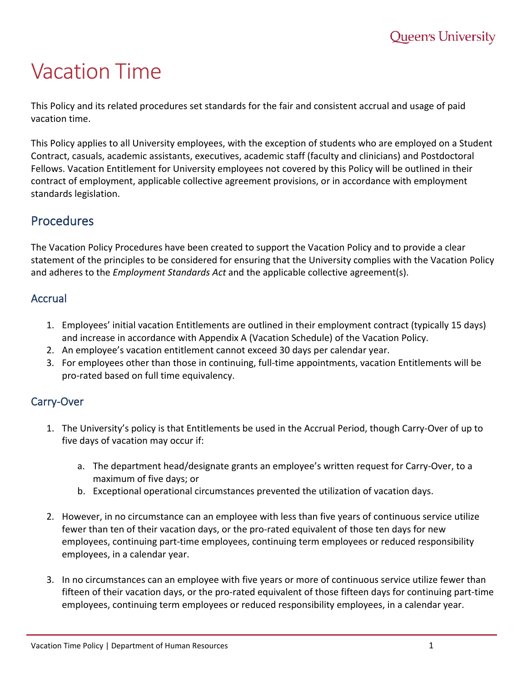# Vacation Time

This Policy and its related procedures set standards for the fair and consistent accrual and usage of paid vacation time.

This Policy applies to all University employees, with the exception of students who are employed on a Student Contract, casuals, academic assistants, executives, academic staff (faculty and clinicians) and Postdoctoral Fellows. Vacation Entitlement for University employees not covered by this Policy will be outlined in their contract of employment, applicable collective agreement provisions, or in accordance with employment standards legislation.

# Procedures

The Vacation Policy Procedures have been created to support the Vacation Policy and to provide a clear statement of the principles to be considered for ensuring that the University complies with the Vacation Policy and adheres to the *Employment Standards Act* and the applicable collective agreement(s).

# Accrual

- 1. Employees' initial vacation Entitlements are outlined in their employment contract (typically 15 days) and increase in accordance with Appendix A (Vacation Schedule) of the Vacation Policy.
- 2. An employee's vacation entitlement cannot exceed 30 days per calendar year.
- 3. For employees other than those in continuing, full-time appointments, vacation Entitlements will be pro-rated based on full time equivalency.

# Carry-Over

- 1. The University's policy is that Entitlements be used in the Accrual Period, though Carry-Over of up to five days of vacation may occur if:
	- a. The department head/designate grants an employee's written request for Carry-Over, to a maximum of five days; or
	- b. Exceptional operational circumstances prevented the utilization of vacation days.
- 2. However, in no circumstance can an employee with less than five years of continuous service utilize fewer than ten of their vacation days, or the pro-rated equivalent of those ten days for new employees, continuing part-time employees, continuing term employees or reduced responsibility employees, in a calendar year.
- 3. In no circumstances can an employee with five years or more of continuous service utilize fewer than fifteen of their vacation days, or the pro-rated equivalent of those fifteen days for continuing part-time employees, continuing term employees or reduced responsibility employees, in a calendar year.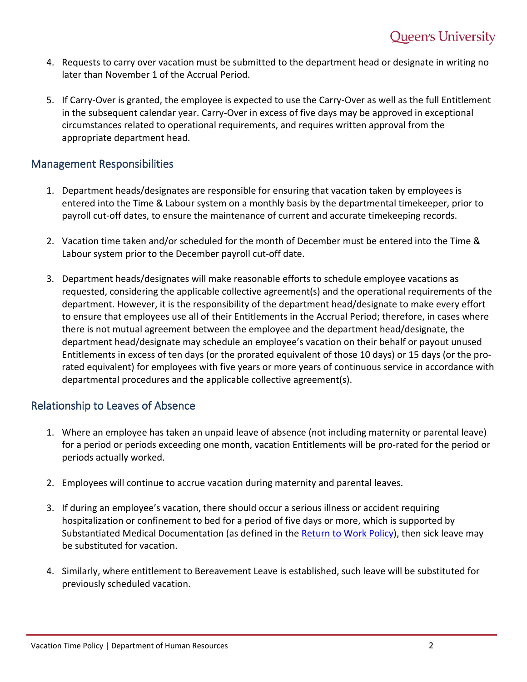- 4. Requests to carry over vacation must be submitted to the department head or designate in writing no later than November 1 of the Accrual Period.
- 5. If Carry-Over is granted, the employee is expected to use the Carry-Over as well as the full Entitlement in the subsequent calendar year. Carry-Over in excess of five days may be approved in exceptional circumstances related to operational requirements, and requires written approval from the appropriate department head.

#### Management Responsibilities

- 1. Department heads/designates are responsible for ensuring that vacation taken by employees is entered into the Time & Labour system on a monthly basis by the departmental timekeeper, prior to payroll cut-off dates, to ensure the maintenance of current and accurate timekeeping records.
- 2. Vacation time taken and/or scheduled for the month of December must be entered into the Time & Labour system prior to the December payroll cut-off date.
- 3. Department heads/designates will make reasonable efforts to schedule employee vacations as requested, considering the applicable collective agreement(s) and the operational requirements of the department. However, it is the responsibility of the department head/designate to make every effort to ensure that employees use all of their Entitlements in the Accrual Period; therefore, in cases where there is not mutual agreement between the employee and the department head/designate, the department head/designate may schedule an employee's vacation on their behalf or payout unused Entitlements in excess of ten days (or the prorated equivalent of those 10 days) or 15 days (or the prorated equivalent) for employees with five years or more years of continuous service in accordance with departmental procedures and the applicable collective agreement(s).

## Relationship to Leaves of Absence

- 1. Where an employee has taken an unpaid leave of absence (not including maternity or parental leave) for a period or periods exceeding one month, vacation Entitlements will be pro-rated for the period or periods actually worked.
- 2. Employees will continue to accrue vacation during maternity and parental leaves.
- 3. If during an employee's vacation, there should occur a serious illness or accident requiring hospitalization or confinement to bed for a period of five days or more, which is supported by Substantiated Medical Documentation (as defined in the [Return to Work Policy\)](https://www.queensu.ca/secretariat/policies/human-resources-index-policies), then sick leave may be substituted for vacation.
- 4. Similarly, where entitlement to Bereavement Leave is established, such leave will be substituted for previously scheduled vacation.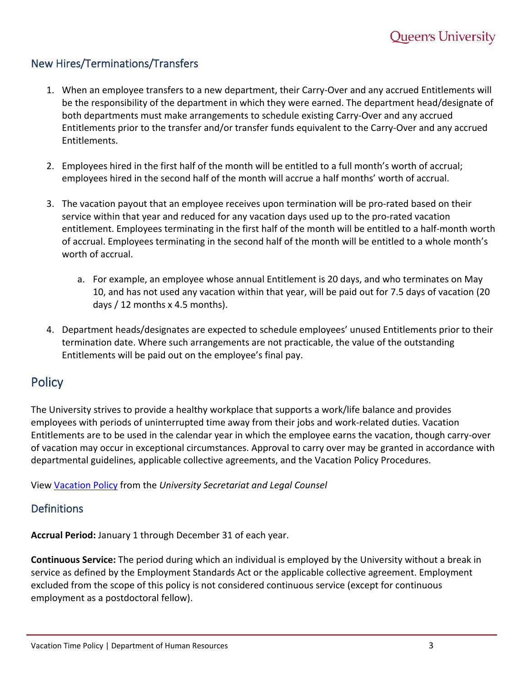# New Hires/Terminations/Transfers

- 1. When an employee transfers to a new department, their Carry-Over and any accrued Entitlements will be the responsibility of the department in which they were earned. The department head/designate of both departments must make arrangements to schedule existing Carry-Over and any accrued Entitlements prior to the transfer and/or transfer funds equivalent to the Carry-Over and any accrued Entitlements.
- 2. Employees hired in the first half of the month will be entitled to a full month's worth of accrual; employees hired in the second half of the month will accrue a half months' worth of accrual.
- 3. The vacation payout that an employee receives upon termination will be pro-rated based on their service within that year and reduced for any vacation days used up to the pro-rated vacation entitlement. Employees terminating in the first half of the month will be entitled to a half-month worth of accrual. Employees terminating in the second half of the month will be entitled to a whole month's worth of accrual.
	- a. For example, an employee whose annual Entitlement is 20 days, and who terminates on May 10, and has not used any vacation within that year, will be paid out for 7.5 days of vacation (20 days / 12 months x 4.5 months).
- 4. Department heads/designates are expected to schedule employees' unused Entitlements prior to their termination date. Where such arrangements are not practicable, the value of the outstanding Entitlements will be paid out on the employee's final pay.

# **Policy**

The University strives to provide a healthy workplace that supports a work/life balance and provides employees with periods of uninterrupted time away from their jobs and work-related duties. Vacation Entitlements are to be used in the calendar year in which the employee earns the vacation, though carry-over of vacation may occur in exceptional circumstances. Approval to carry over may be granted in accordance with departmental guidelines, applicable collective agreements, and the Vacation Policy Procedures.

View [Vacation Policy](https://www.queensu.ca/secretariat/vacation-policy) from the *University Secretariat and Legal Counsel*

## **Definitions**

**Accrual Period:** January 1 through December 31 of each year.

**Continuous Service:** The period during which an individual is employed by the University without a break in service as defined by the Employment Standards Act or the applicable collective agreement. Employment excluded from the scope of this policy is not considered continuous service (except for continuous employment as a postdoctoral fellow).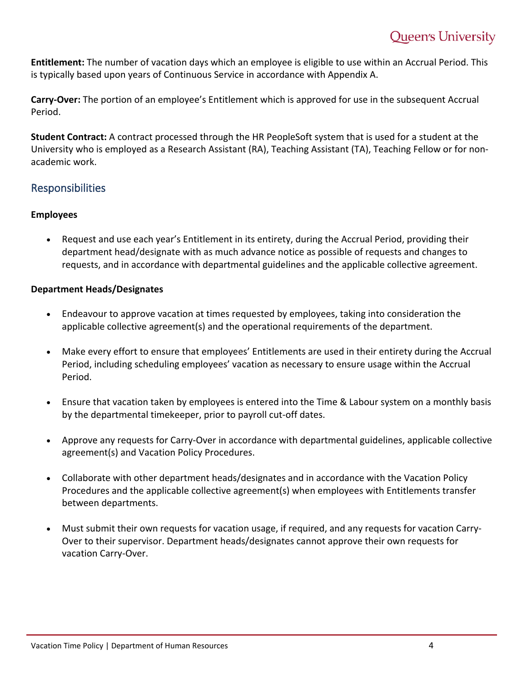**Entitlement:** The number of vacation days which an employee is eligible to use within an Accrual Period. This is typically based upon years of Continuous Service in accordance with Appendix A.

**Carry-Over:** The portion of an employee's Entitlement which is approved for use in the subsequent Accrual Period.

**Student Contract:** A contract processed through the HR PeopleSoft system that is used for a student at the University who is employed as a Research Assistant (RA), Teaching Assistant (TA), Teaching Fellow or for nonacademic work.

## Responsibilities

#### **Employees**

• Request and use each year's Entitlement in its entirety, during the Accrual Period, providing their department head/designate with as much advance notice as possible of requests and changes to requests, and in accordance with departmental guidelines and the applicable collective agreement.

#### **Department Heads/Designates**

- Endeavour to approve vacation at times requested by employees, taking into consideration the applicable collective agreement(s) and the operational requirements of the department.
- Make every effort to ensure that employees' Entitlements are used in their entirety during the Accrual Period, including scheduling employees' vacation as necessary to ensure usage within the Accrual Period.
- Ensure that vacation taken by employees is entered into the Time & Labour system on a monthly basis by the departmental timekeeper, prior to payroll cut-off dates.
- Approve any requests for Carry-Over in accordance with departmental guidelines, applicable collective agreement(s) and Vacation Policy Procedures.
- Collaborate with other department heads/designates and in accordance with the Vacation Policy Procedures and the applicable collective agreement(s) when employees with Entitlements transfer between departments.
- Must submit their own requests for vacation usage, if required, and any requests for vacation Carry-Over to their supervisor. Department heads/designates cannot approve their own requests for vacation Carry-Over.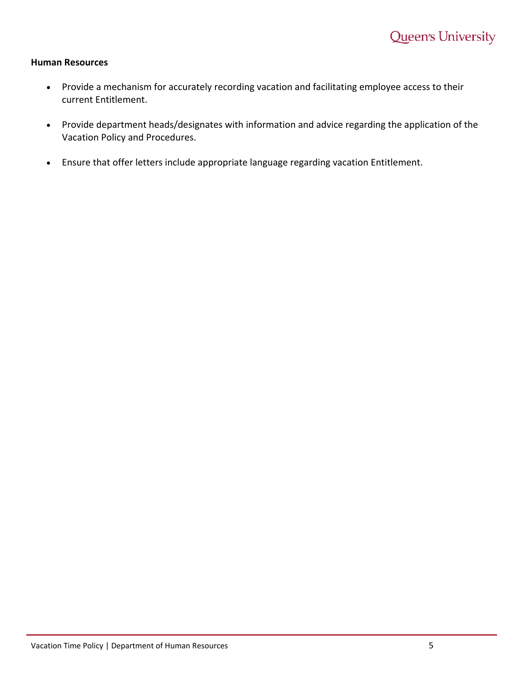#### **Human Resources**

- Provide a mechanism for accurately recording vacation and facilitating employee access to their current Entitlement.
- Provide department heads/designates with information and advice regarding the application of the Vacation Policy and Procedures.
- Ensure that offer letters include appropriate language regarding vacation Entitlement.